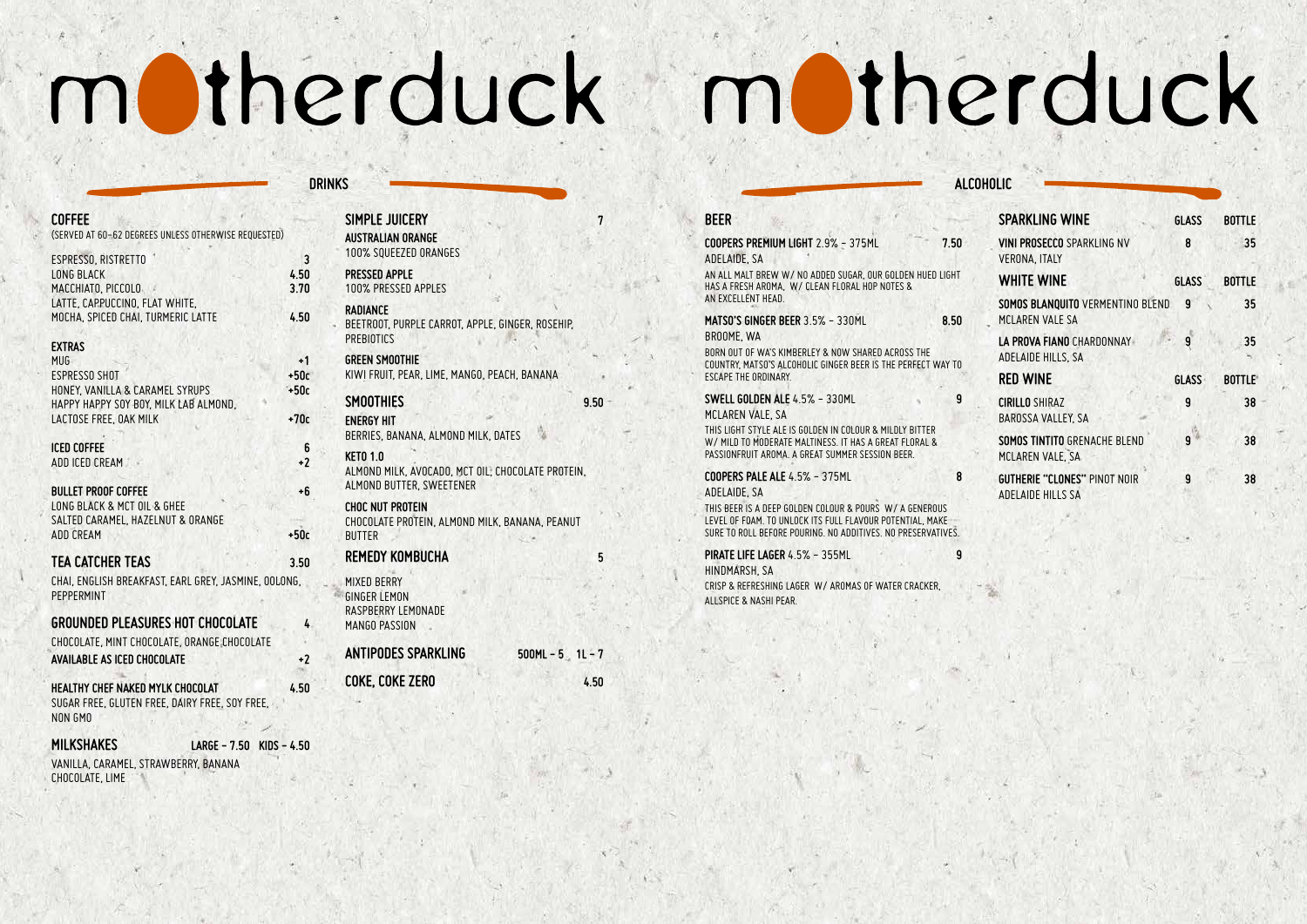| <b>COFFEE</b><br>(SERVED AT 60-62 DEGREES UNLESS OTHERWISE REQUESTED)                                                                                                                   |           |
|-----------------------------------------------------------------------------------------------------------------------------------------------------------------------------------------|-----------|
| ESPRESSO, RISTRETTO<br><b>LONG BLACK</b><br>4.50<br>MACCHIATO, PICCOLO<br>3.70<br>LATTE, CAPPUCCINO, FLAT WHITE,<br>MOCHA, SPICED CHAI, TURMERIC LATTE<br>4.50                          | 3         |
| <b>EXTRAS</b><br><b>MUG</b><br><b>ESPRESSO SHOT</b><br>$+50c$<br>HONEY, VANILLA & CARAMEL SYRUPS<br>$+50c$<br>HAPPY HAPPY SOY BOY, MILK LAB ALMOND,<br>LACTOSE FREE, OAK MILK<br>$+70c$ | +1        |
| <b>ICED COFFEE</b><br>ADD ICED CREAM                                                                                                                                                    | 6<br>$+2$ |
| <b>BULLET PROOF COFFEE</b><br>LONG BLACK & MCT OIL & GHEE<br>SALTED CARAMEL, HAZELNUT & ORANGE<br>$+50c$<br><b>ADD CREAM</b>                                                            | $+6$      |
| <b>TEA CATCHER TEAS</b><br>3.50<br>CHAI, ENGLISH BREAKFAST, EARL GREY, JASMINE, OOLONG,<br>PEPPERMINT                                                                                   |           |
| <b>GROUNDED PLEASURES HOT CHOCOLATE</b><br>CHOCOLATE, MINT CHOCOLATE, ORANGE CHOCOLATE<br><b>AVAILABLE AS ICED CHOCOLATE</b>                                                            | 4<br>$+2$ |
| HEALTHY CHEF NAKED MYLK CHOCOLAT<br>4.50<br>SUGAR FREE, GLUTEN FREE, DAIRY FREE, SOY FREE,<br>NON GMO                                                                                   |           |
| <b>MILKSHAKES</b><br>$KIDS - 4.50$<br><b>LARGE - 7.50</b><br>VANILLA, CARAMEL, STRAWBERRY, BANANA                                                                                       |           |

CHOCOLATE, LIME

| SIMPLE JUICERY<br><b>AUSTRALIAN ORANGE</b><br>100% SQUEEZED ORANGES                              | 7    |
|--------------------------------------------------------------------------------------------------|------|
| <b>PRESSED APPLE</b><br>100% PRESSED APPLES                                                      |      |
| <b>RADIANCE</b><br>BEETROOT, PURPLE CARROT, APPLE, GINGER, ROSEHIP,<br><b>PREBIOTICS</b>         |      |
| <b>GREEN SMOOTHIE</b><br>KIWI FRUIT, PEAR, LIME, MANGO, PEACH, BANANA                            |      |
| <b>SMOOTHIES</b><br><b>ENERGY HIT</b><br>BERRIES, BANANA, ALMOND MILK, DATES                     | 9.50 |
| <b>KETO 1.0</b><br>ALMOND MILK, AVOCADO, MCT OIL, CHOCOLATE PROTEIN,<br>ALMOND BUTTER, SWEETENER |      |
| <b>CHOC NUT PROTEIN</b><br>CHOCOLATE PROTEIN, ALMOND MILK, BANANA, PEANUT<br><b>BUTTER</b>       |      |
| REMEDY KOMBUCHA                                                                                  | 5    |
| <b>MIXED BERRY</b><br><b>GINGER LEMON</b><br>RASPBERRY LEMONADE<br><b>MANGO PASSION</b>          |      |
| <b>ANTIPODES SPARKLING</b><br>$500ML - 5$ 1L-7                                                   |      |
| COKE, COKE ZERO                                                                                  | 4.50 |

# motherduck motherduck

**ALCOHO** 

## **DRINKS**

| <b>BEER</b>                                                                                                                                                                          |      |
|--------------------------------------------------------------------------------------------------------------------------------------------------------------------------------------|------|
| COOPERS PREMIUM LIGHT 2.9% - 375ML<br>ADELAIDE, SA                                                                                                                                   | 7.50 |
| AN ALL MALT BREW W/ NO ADDED SUGAR, OUR GOLDEN HUED LIGHT<br>HAS A FRESH AROMA, W/ CLEAN FLORAL HOP NOTES &<br>AN FXCELLENT HEAD.                                                    |      |
| <b>MATSO'S GINGER BEER 3.5% - 330ML</b><br>BROOME, WA                                                                                                                                | 8.50 |
| BORN OUT OF WA'S KIMBERLEY & NOW SHARED ACROSS THE<br>COUNTRY, MATSO'S ALCOHOLIC GINGER BEER IS THE PERFECT WAY TO<br><b>FSCAPE THE ORDINARY</b>                                     |      |
| SWELL GOLDEN ALE 4.5% - 330ML<br>MCLAREN VALE, SA                                                                                                                                    | 9    |
| THIS LIGHT STYLE ALE IS GOLDEN IN COLOUR & MILDLY BITTER<br>W/ MILD TO MODERATE MALTINESS. IT HAS A GREAT FLORAL &<br>PASSIONERUIT AROMA, A GREAT SUMMER SESSION BEER.               |      |
| COOPERS PALE ALE 4.5% - 375ML<br>ADELAIDE, SA                                                                                                                                        | 8    |
| THIS BEER IS A DEEP GOLDEN COLOUR & POURS W/ A GENEROUS<br>LEVEL OF FOAM. TO UNLOCK ITS FULL FLAVOUR POTENTIAL, MAKE<br>SURE TO ROLL BEFORE POURING. NO ADDITIVES. NO PRESERVATIVES. |      |
| PIRATE LIFE LAGER 4.5% - 355ML<br>HINDMARSH, SA                                                                                                                                      | 9    |
| CRISP & REFRESHING LAGER W/ AROMAS OF WATER CRACKER.<br>ALLSPICE & NASHI PEAR.                                                                                                       |      |
|                                                                                                                                                                                      |      |

| JLIL.                                                           |              |               |
|-----------------------------------------------------------------|--------------|---------------|
| <b>SPARKLING WINE</b>                                           | <b>GLASS</b> | <b>BOTTLE</b> |
| <b>VINI PROSECCO SPARKLING NV</b><br><b>VERONA, ITALY</b>       | 8            | 35            |
| <b>WHITE WINE</b>                                               | <b>GLASS</b> | <b>BOTTLE</b> |
| SOMOS BLANQUITO VERMENTINO BLEND<br>MCLAREN VALE SA             | 9            | 35            |
| LA PROVA FIANO CHARDONNAY<br>ADELAIDE HILLS, SA                 | 9            | 35            |
| <b>RED WINE</b>                                                 | <b>GLASS</b> | <b>BOTTLE</b> |
| <b>CIRILLO SHIRAZ</b><br>BAROSSA VALLEY, SA                     | 9            | 38            |
| <b>SOMOS TINTITO GRENACHE BLEND</b><br>MCLAREN VALE, SA         | 9            | 38            |
| <b>GUTHERIE "CLONES" PINOT NOIR</b><br><b>ADELAIDE HILLS SA</b> | 9            | 38            |